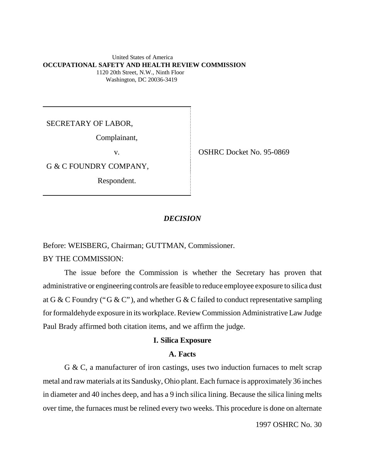#### United States of America **OCCUPATIONAL SAFETY AND HEALTH REVIEW COMMISSION** 1120 20th Street, N.W., Ninth Floor Washington, DC 20036-3419

SECRETARY OF LABOR,

Complainant,

G & C FOUNDRY COMPANY,

Respondent.

v. COSHRC Docket No. 95-0869

## *DECISION*

Before: WEISBERG, Chairman; GUTTMAN, Commissioner.

BY THE COMMISSION:

The issue before the Commission is whether the Secretary has proven that administrative or engineering controls are feasible to reduce employee exposure to silica dust at G & C Foundry ("G & C"), and whether G & C failed to conduct representative sampling for formaldehyde exposure in its workplace. Review Commission Administrative Law Judge Paul Brady affirmed both citation items, and we affirm the judge.

### **I. Silica Exposure**

## **A. Facts**

G & C, a manufacturer of iron castings, uses two induction furnaces to melt scrap metal and raw materials at its Sandusky, Ohio plant. Each furnace is approximately 36 inches in diameter and 40 inches deep, and has a 9 inch silica lining. Because the silica lining melts over time, the furnaces must be relined every two weeks. This procedure is done on alternate

1997 OSHRC No. 30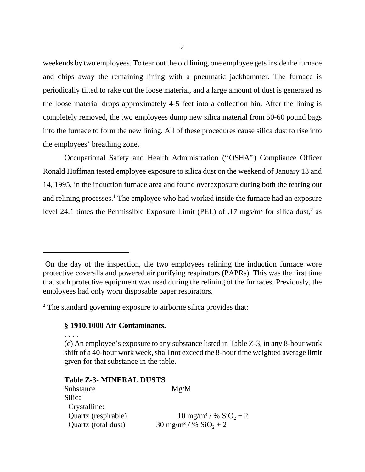weekends by two employees. To tear out the old lining, one employee gets inside the furnace and chips away the remaining lining with a pneumatic jackhammer. The furnace is periodically tilted to rake out the loose material, and a large amount of dust is generated as the loose material drops approximately 4-5 feet into a collection bin. After the lining is completely removed, the two employees dump new silica material from 50-60 pound bags into the furnace to form the new lining. All of these procedures cause silica dust to rise into the employees' breathing zone.

Occupational Safety and Health Administration ("OSHA") Compliance Officer Ronald Hoffman tested employee exposure to silica dust on the weekend of January 13 and 14, 1995, in the induction furnace area and found overexposure during both the tearing out and relining processes.<sup>1</sup> The employee who had worked inside the furnace had an exposure level 24.1 times the Permissible Exposure Limit (PEL) of .17 mgs/m<sup>3</sup> for silica dust,<sup>2</sup> as

 $2^2$  The standard governing exposure to airborne silica provides that:

# **§ 1910.1000 Air Contaminants.**

. . . .

(c) An employee's exposure to any substance listed in Table Z-3, in any 8-hour work shift of a 40-hour work week, shall not exceed the 8-hour time weighted average limit given for that substance in the table.

## **Table Z-3- MINERAL DUSTS**

| Substance           | Mg/M                                          |
|---------------------|-----------------------------------------------|
| Silica              |                                               |
| Crystalline:        |                                               |
| Quartz (respirable) | $10 \text{ mg/m}^3$ / % $\text{SiO}_2 + 2$    |
| Quartz (total dust) | $30 \text{ mg/m}^3 / \%$ SiO <sub>2</sub> + 2 |

<sup>&</sup>lt;sup>1</sup>On the day of the inspection, the two employees relining the induction furnace wore protective coveralls and powered air purifying respirators (PAPRs). This was the first time that such protective equipment was used during the relining of the furnaces. Previously, the employees had only worn disposable paper respirators.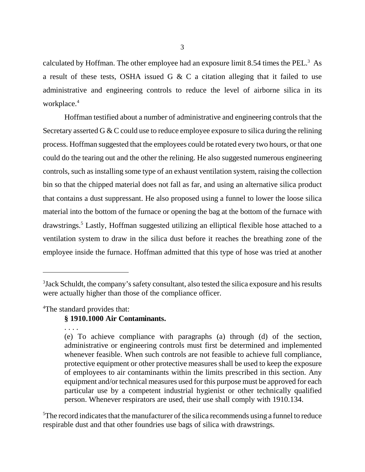calculated by Hoffman. The other employee had an exposure limit 8.54 times the PEL. $^3$  As a result of these tests, OSHA issued G & C a citation alleging that it failed to use administrative and engineering controls to reduce the level of airborne silica in its workplace.<sup>4</sup>

Hoffman testified about a number of administrative and engineering controls that the Secretary asserted G & C could use to reduce employee exposure to silica during the relining process. Hoffman suggested that the employees could be rotated every two hours, or that one could do the tearing out and the other the relining. He also suggested numerous engineering controls, such as installing some type of an exhaust ventilation system, raising the collection bin so that the chipped material does not fall as far, and using an alternative silica product that contains a dust suppressant. He also proposed using a funnel to lower the loose silica material into the bottom of the furnace or opening the bag at the bottom of the furnace with drawstrings.<sup>5</sup> Lastly, Hoffman suggested utilizing an elliptical flexible hose attached to a ventilation system to draw in the silica dust before it reaches the breathing zone of the employee inside the furnace. Hoffman admitted that this type of hose was tried at another

<sup>4</sup>The standard provides that:

# **§ 1910.1000 Air Contaminants.**

<sup>5</sup>The record indicates that the manufacturer of the silica recommends using a funnel to reduce respirable dust and that other foundries use bags of silica with drawstrings.

 $3$ Jack Schuldt, the company's safety consultant, also tested the silica exposure and his results were actually higher than those of the compliance officer.

<sup>. . . .</sup> (e) To achieve compliance with paragraphs (a) through (d) of the section, administrative or engineering controls must first be determined and implemented whenever feasible. When such controls are not feasible to achieve full compliance, protective equipment or other protective measures shall be used to keep the exposure of employees to air contaminants within the limits prescribed in this section. Any equipment and/or technical measures used for this purpose must be approved for each particular use by a competent industrial hygienist or other technically qualified person. Whenever respirators are used, their use shall comply with 1910.134.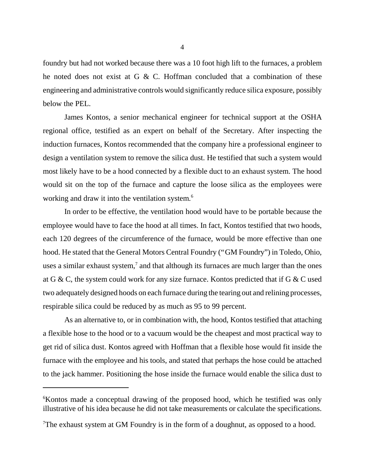foundry but had not worked because there was a 10 foot high lift to the furnaces, a problem he noted does not exist at G & C. Hoffman concluded that a combination of these engineering and administrative controls would significantly reduce silica exposure, possibly below the PEL.

James Kontos, a senior mechanical engineer for technical support at the OSHA regional office, testified as an expert on behalf of the Secretary. After inspecting the induction furnaces, Kontos recommended that the company hire a professional engineer to design a ventilation system to remove the silica dust. He testified that such a system would most likely have to be a hood connected by a flexible duct to an exhaust system. The hood would sit on the top of the furnace and capture the loose silica as the employees were working and draw it into the ventilation system.<sup>6</sup>

In order to be effective, the ventilation hood would have to be portable because the employee would have to face the hood at all times. In fact, Kontos testified that two hoods, each 120 degrees of the circumference of the furnace, would be more effective than one hood. He stated that the General Motors Central Foundry ("GM Foundry") in Toledo, Ohio, uses a similar exhaust system, $<sup>7</sup>$  and that although its furnaces are much larger than the ones</sup> at G & C, the system could work for any size furnace. Kontos predicted that if G & C used two adequately designed hoods on each furnace during the tearing out and relining processes, respirable silica could be reduced by as much as 95 to 99 percent.

As an alternative to, or in combination with, the hood, Kontos testified that attaching a flexible hose to the hood or to a vacuum would be the cheapest and most practical way to get rid of silica dust. Kontos agreed with Hoffman that a flexible hose would fit inside the furnace with the employee and his tools, and stated that perhaps the hose could be attached to the jack hammer. Positioning the hose inside the furnace would enable the silica dust to

<sup>&</sup>lt;sup>6</sup>Kontos made a conceptual drawing of the proposed hood, which he testified was only illustrative of his idea because he did not take measurements or calculate the specifications.

<sup>&</sup>lt;sup>7</sup>The exhaust system at GM Foundry is in the form of a doughnut, as opposed to a hood.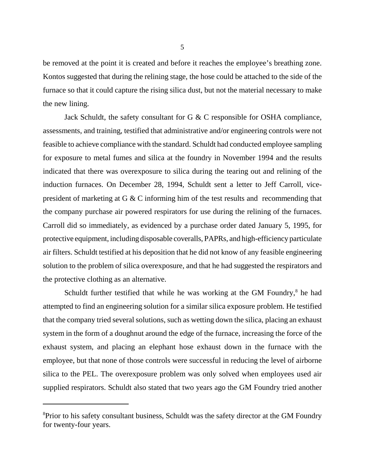be removed at the point it is created and before it reaches the employee's breathing zone. Kontos suggested that during the relining stage, the hose could be attached to the side of the furnace so that it could capture the rising silica dust, but not the material necessary to make the new lining.

Jack Schuldt, the safety consultant for G & C responsible for OSHA compliance, assessments, and training, testified that administrative and/or engineering controls were not feasible to achieve compliance with the standard. Schuldt had conducted employee sampling for exposure to metal fumes and silica at the foundry in November 1994 and the results indicated that there was overexposure to silica during the tearing out and relining of the induction furnaces. On December 28, 1994, Schuldt sent a letter to Jeff Carroll, vicepresident of marketing at G & C informing him of the test results and recommending that the company purchase air powered respirators for use during the relining of the furnaces. Carroll did so immediately, as evidenced by a purchase order dated January 5, 1995, for protective equipment, including disposable coveralls, PAPRs, and high-efficiency particulate air filters. Schuldt testified at his deposition that he did not know of any feasible engineering solution to the problem of silica overexposure, and that he had suggested the respirators and the protective clothing as an alternative.

Schuldt further testified that while he was working at the GM Foundry, $^8$  he had attempted to find an engineering solution for a similar silica exposure problem. He testified that the company tried several solutions, such as wetting down the silica, placing an exhaust system in the form of a doughnut around the edge of the furnace, increasing the force of the exhaust system, and placing an elephant hose exhaust down in the furnace with the employee, but that none of those controls were successful in reducing the level of airborne silica to the PEL. The overexposure problem was only solved when employees used air supplied respirators. Schuldt also stated that two years ago the GM Foundry tried another

<sup>&</sup>lt;sup>8</sup>Prior to his safety consultant business, Schuldt was the safety director at the GM Foundry for twenty-four years.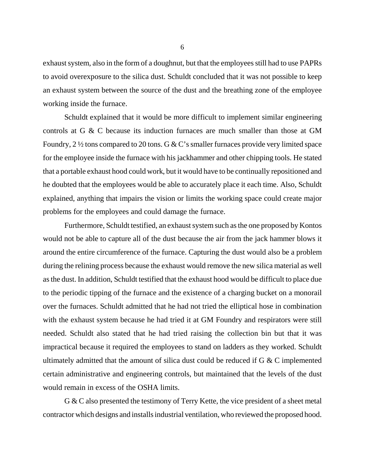exhaust system, also in the form of a doughnut, but that the employees still had to use PAPRs to avoid overexposure to the silica dust. Schuldt concluded that it was not possible to keep an exhaust system between the source of the dust and the breathing zone of the employee working inside the furnace.

Schuldt explained that it would be more difficult to implement similar engineering controls at G & C because its induction furnaces are much smaller than those at GM Foundry,  $2\frac{1}{2}$  tons compared to 20 tons. G & C's smaller furnaces provide very limited space for the employee inside the furnace with his jackhammer and other chipping tools. He stated that a portable exhaust hood could work, but it would have to be continually repositioned and he doubted that the employees would be able to accurately place it each time. Also, Schuldt explained, anything that impairs the vision or limits the working space could create major problems for the employees and could damage the furnace.

Furthermore, Schuldt testified, an exhaust system such as the one proposed by Kontos would not be able to capture all of the dust because the air from the jack hammer blows it around the entire circumference of the furnace. Capturing the dust would also be a problem during the relining process because the exhaust would remove the new silica material as well as the dust. In addition, Schuldt testified that the exhaust hood would be difficult to place due to the periodic tipping of the furnace and the existence of a charging bucket on a monorail over the furnaces. Schuldt admitted that he had not tried the elliptical hose in combination with the exhaust system because he had tried it at GM Foundry and respirators were still needed. Schuldt also stated that he had tried raising the collection bin but that it was impractical because it required the employees to stand on ladders as they worked. Schuldt ultimately admitted that the amount of silica dust could be reduced if  $G \& C$  implemented certain administrative and engineering controls, but maintained that the levels of the dust would remain in excess of the OSHA limits.

G & C also presented the testimony of Terry Kette, the vice president of a sheet metal contractor which designs and installs industrial ventilation, who reviewed the proposed hood.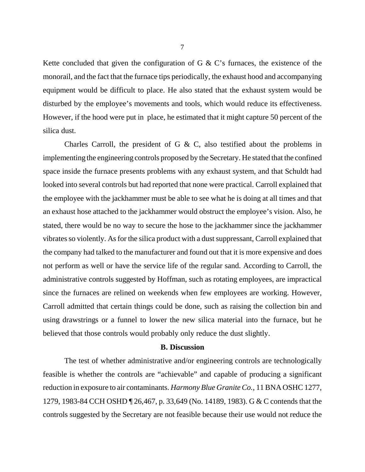Kette concluded that given the configuration of G  $\&$  C's furnaces, the existence of the monorail, and the fact that the furnace tips periodically, the exhaust hood and accompanying equipment would be difficult to place. He also stated that the exhaust system would be disturbed by the employee's movements and tools, which would reduce its effectiveness. However, if the hood were put in place, he estimated that it might capture 50 percent of the silica dust.

Charles Carroll, the president of G  $\&$  C, also testified about the problems in implementing the engineering controls proposed by the Secretary. He stated that the confined space inside the furnace presents problems with any exhaust system, and that Schuldt had looked into several controls but had reported that none were practical. Carroll explained that the employee with the jackhammer must be able to see what he is doing at all times and that an exhaust hose attached to the jackhammer would obstruct the employee's vision. Also, he stated, there would be no way to secure the hose to the jackhammer since the jackhammer vibrates so violently. As for the silica product with a dust suppressant, Carroll explained that the company had talked to the manufacturer and found out that it is more expensive and does not perform as well or have the service life of the regular sand. According to Carroll, the administrative controls suggested by Hoffman, such as rotating employees, are impractical since the furnaces are relined on weekends when few employees are working. However, Carroll admitted that certain things could be done, such as raising the collection bin and using drawstrings or a funnel to lower the new silica material into the furnace, but he believed that those controls would probably only reduce the dust slightly.

### **B. Discussion**

The test of whether administrative and/or engineering controls are technologically feasible is whether the controls are "achievable" and capable of producing a significant reduction in exposure to air contaminants. *Harmony Blue Granite Co.*, 11 BNA OSHC 1277, 1279, 1983-84 CCH OSHD ¶ 26,467, p. 33,649 (No. 14189, 1983). G & C contends that the controls suggested by the Secretary are not feasible because their use would not reduce the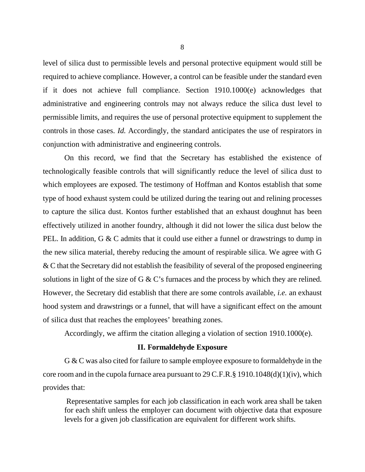level of silica dust to permissible levels and personal protective equipment would still be required to achieve compliance. However, a control can be feasible under the standard even if it does not achieve full compliance. Section 1910.1000(e) acknowledges that administrative and engineering controls may not always reduce the silica dust level to permissible limits, and requires the use of personal protective equipment to supplement the controls in those cases. *Id.* Accordingly, the standard anticipates the use of respirators in conjunction with administrative and engineering controls.

On this record, we find that the Secretary has established the existence of technologically feasible controls that will significantly reduce the level of silica dust to which employees are exposed. The testimony of Hoffman and Kontos establish that some type of hood exhaust system could be utilized during the tearing out and relining processes to capture the silica dust. Kontos further established that an exhaust doughnut has been effectively utilized in another foundry, although it did not lower the silica dust below the PEL. In addition, G & C admits that it could use either a funnel or drawstrings to dump in the new silica material, thereby reducing the amount of respirable silica. We agree with G & C that the Secretary did not establish the feasibility of several of the proposed engineering solutions in light of the size of G & C's furnaces and the process by which they are relined. However, the Secretary did establish that there are some controls available, *i.e.* an exhaust hood system and drawstrings or a funnel, that will have a significant effect on the amount of silica dust that reaches the employees' breathing zones.

Accordingly, we affirm the citation alleging a violation of section 1910.1000(e).

### **II. Formaldehyde Exposure**

G & C was also cited for failure to sample employee exposure to formaldehyde in the core room and in the cupola furnace area pursuant to 29 C.F.R.§ 1910.1048(d)(1)(iv), which provides that:

 Representative samples for each job classification in each work area shall be taken for each shift unless the employer can document with objective data that exposure levels for a given job classification are equivalent for different work shifts.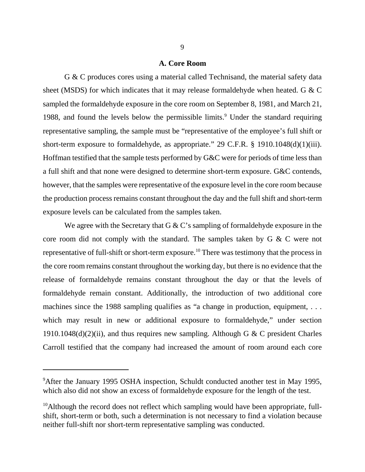### **A. Core Room**

G & C produces cores using a material called Technisand, the material safety data sheet (MSDS) for which indicates that it may release formaldehyde when heated. G & C sampled the formaldehyde exposure in the core room on September 8, 1981, and March 21, 1988, and found the levels below the permissible limits.<sup>9</sup> Under the standard requiring representative sampling, the sample must be "representative of the employee's full shift or short-term exposure to formaldehyde, as appropriate." 29 C.F.R. § 1910.1048(d)(1)(iii). Hoffman testified that the sample tests performed by G&C were for periods of time less than a full shift and that none were designed to determine short-term exposure. G&C contends, however, that the samples were representative of the exposure level in the core room because the production process remains constant throughout the day and the full shift and short-term exposure levels can be calculated from the samples taken.

We agree with the Secretary that G  $&$  C's sampling of formaldehyde exposure in the core room did not comply with the standard. The samples taken by G & C were not representative of full-shift or short-term exposure.<sup>10</sup> There was testimony that the process in the core room remains constant throughout the working day, but there is no evidence that the release of formaldehyde remains constant throughout the day or that the levels of formaldehyde remain constant. Additionally, the introduction of two additional core machines since the 1988 sampling qualifies as "a change in production, equipment, ... which may result in new or additional exposure to formal dehyde," under section 1910.1048(d)(2)(ii), and thus requires new sampling. Although G & C president Charles Carroll testified that the company had increased the amount of room around each core

<sup>&</sup>lt;sup>9</sup>After the January 1995 OSHA inspection, Schuldt conducted another test in May 1995, which also did not show an excess of formaldehyde exposure for the length of the test.

 $10$ Although the record does not reflect which sampling would have been appropriate, fullshift, short-term or both, such a determination is not necessary to find a violation because neither full-shift nor short-term representative sampling was conducted.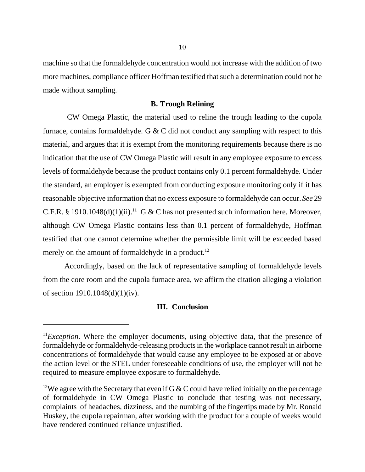machine so that the formaldehyde concentration would not increase with the addition of two more machines, compliance officer Hoffman testified that such a determination could not be made without sampling.

## **B. Trough Relining**

 CW Omega Plastic, the material used to reline the trough leading to the cupola furnace, contains formaldehyde. G & C did not conduct any sampling with respect to this material, and argues that it is exempt from the monitoring requirements because there is no indication that the use of CW Omega Plastic will result in any employee exposure to excess levels of formaldehyde because the product contains only 0.1 percent formaldehyde. Under the standard, an employer is exempted from conducting exposure monitoring only if it has reasonable objective information that no excess exposure to formaldehyde can occur. *See* 29 C.F.R. § 1910.1048(d)(1)(ii).<sup>11</sup> G & C has not presented such information here. Moreover, although CW Omega Plastic contains less than 0.1 percent of formaldehyde, Hoffman testified that one cannot determine whether the permissible limit will be exceeded based merely on the amount of formaldehyde in a product.<sup>12</sup>

Accordingly, based on the lack of representative sampling of formaldehyde levels from the core room and the cupola furnace area, we affirm the citation alleging a violation of section 1910.1048(d)(1)(iv).

## **III. Conclusion**

 $11$ *Exception*. Where the employer documents, using objective data, that the presence of formaldehyde or formaldehyde-releasing products in the workplace cannot result in airborne concentrations of formaldehyde that would cause any employee to be exposed at or above the action level or the STEL under foreseeable conditions of use, the employer will not be required to measure employee exposure to formaldehyde.

<sup>&</sup>lt;sup>12</sup>We agree with the Secretary that even if G & C could have relied initially on the percentage of formaldehyde in CW Omega Plastic to conclude that testing was not necessary, complaints of headaches, dizziness, and the numbing of the fingertips made by Mr. Ronald Huskey, the cupola repairman, after working with the product for a couple of weeks would have rendered continued reliance unjustified.